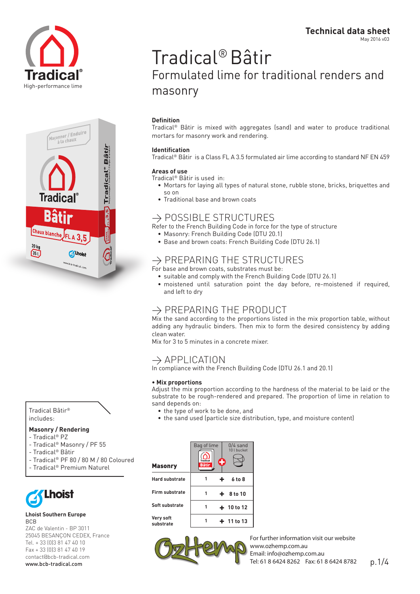



Tradical Bâtir® includes:

### **Masonry / Rendering**

- Tradical® PZ
- Tradical® Masonry / PF 55
- Tradical® Bâtir
- Tradical® PF 80 / 80 M / 80 Coloured
- Tradical® Premium Naturel



### **Lhoist Southern Europe** BCB

ZAC de Valentin - BP 3011 25045 BESANÇON CEDEX, France Tel. + 33 (0)3 81 47 40 10 Fax + 33 (0)3 81 47 40 19 contact@bcb-tradical.com

# Tradical® Bâtir Formulated lime for traditional renders and masonry

## **Definition**

Tradical® Bâtir is mixed with aggregates (sand) and water to produce traditional mortars for masonry work and rendering.

### **Identification**

Tradical® Bâtir is a Class FL A 3.5 formulated air lime according to standard NF EN 459

### **Areas of use**

Tradical® Bâtir is used in:

- • Mortars for laying all types of natural stone, rubble stone, bricks, briquettes and so on
- Traditional base and brown coats

## $\rightarrow$  POSSIBLE STRUCTURES

Refer to the French Building Code in force for the type of structure

- Masonry: French Building Code (DTU 20.1)
- Base and brown coats: French Building Code (DTU 26.1)

# $\rightarrow$  PREPARING THE STRUCTURES

- For base and brown coats, substrates must be:
	- • suitable and comply with the French Building Code (DTU 26.1)
	- moistened until saturation point the day before, re-moistened if required, and left to dry

## $\rightarrow$  PREPARING THE PRODUCT

Mix the sand according to the proportions listed in the mix proportion table, without adding any hydraulic binders. Then mix to form the desired consistency by adding clean water.

Mix for 3 to 5 minutes in a concrete mixer.

## $\rightarrow$  APPLICATION

In compliance with the French Building Code (DTU 26.1 and 20.1)

### **• Mix proportions**

Adjust the mix proportion according to the hardness of the material to be laid or the substrate to be rough-rendered and prepared. The proportion of lime in relation to sand depends on:

- the type of work to be done, and
- the sand used (particle size distribution, type, and moisture content)

|                                         | Bag of lime<br>$\left(\bigcap_{\text{Tradical}}\right)$<br><b>Bâtir</b> | O | $0/4$ sand<br>10 l bucket |
|-----------------------------------------|-------------------------------------------------------------------------|---|---------------------------|
| <b>Masonry</b><br><b>Hard substrate</b> | 1                                                                       | ÷ | $6$ to $8$                |
| Firm substrate                          | 1                                                                       |   | $+ 8$ to 10               |
| Soft substrate                          | 1                                                                       |   | $+ 10 to 12$              |
| Very soft<br>substrate                  | 1                                                                       |   | $+ 11 to 13$              |



www.bcb-tradical.com p.1/4 For further information visit our website www.ozhemp.com.au Email: info@ozhemp.com.au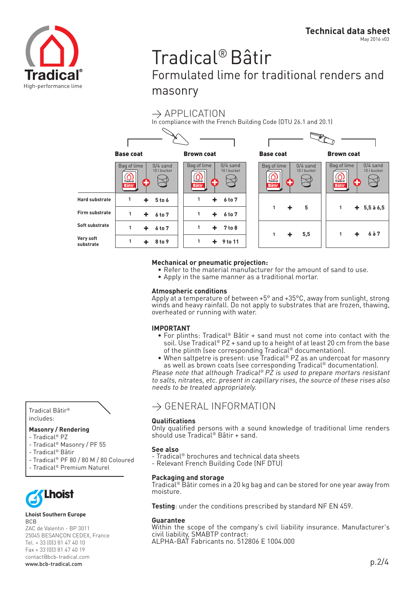

# Tradical® Bâtir Formulated lime for traditional renders and masonry

## $\rightarrow$  APPLICATION

In compliance with the French Building Code (DTU 26.1 and 20.1)



### **Mechanical or pneumatic projection:**

- Refer to the material manufacturer for the amount of sand to use.
- Apply in the same manner as a traditional mortar.

### **Atmospheric conditions**

Apply at a temperature of between +5° and +35°C, away from sunlight, strong winds and heavy rainfall. Do not apply to substrates that are frozen, thawing, overheated or running with water.

## **IMPORTANT**

- For plinths: Tradical® Bâtir + sand must not come into contact with the soil. Use Tradical® PZ + sand up to a height of at least 20 cm from the base of the plinth (see corresponding Tradical® documentation).
- When saltpetre is present: use Tradical® PZ as an undercoat for masonry as well as brown coats (see corresponding Tradical® documentation).

Please note that although Tradical® PZ is used to prepare mortars resistant to salts, nitrates, etc. present in capillary rises, the source of these rises also needs to be treated appropriately.

## $\rightarrow$  GENERAL INFORMATION

## **Qualifications**

Only qualified persons with a sound knowledge of traditional lime renders should use Tradical® Bâtir + sand.

### **See also**

- Tradical® brochures and technical data sheets
- Relevant French Building Code (NF DTU)

### **Packaging and storage**

Tradical® Bâtir comes in a 20 kg bag and can be stored for one year away from moisture.

**Testing**: under the conditions prescribed by standard NF EN 459.

### **Guarantee**

Within the scope of the company's civil liability insurance. Manufacturer's civil liability, SMABTP contract: ALPHA-BAT Fabricants no. 512806 E 1004.000

Tradical Bâtir® includes:

### **Masonry / Rendering**

- Tradical® PZ
- Tradical® Masonry / PF 55
- Tradical® Bâtir
- Tradical® PF 80 / 80 M / 80 Coloured
- Tradical® Premium Naturel



### **Lhoist Southern Europe BCB**

ZAC de Valentin - BP 3011 25045 BESANÇON CEDEX, France Tel. + 33 (0)3 81 47 40 10 Fax + 33 (0)3 81 47 40 19 contact@bcb-tradical.com www.bcb-tradical.com p.2/4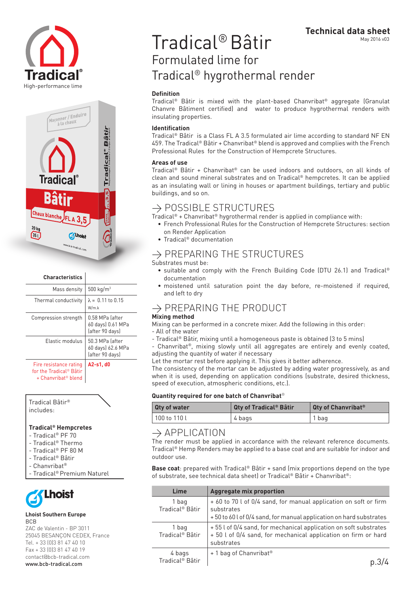



| <b>Characteristics</b>                                                                           |                                                         |
|--------------------------------------------------------------------------------------------------|---------------------------------------------------------|
| Mass density                                                                                     | 500 kg/m <sup>3</sup>                                   |
| Thermal conductivity                                                                             | $\lambda = 0.11$ to 0.15<br>W/m.k                       |
| Compression strength                                                                             | 0.58 MPa lafter<br>60 days) 0.61 MPa<br>(after 90 days) |
| Elastic modulus                                                                                  | 50.3 MPa lafter<br>60 days) 62.6 MPa<br>(after 90 days) |
| Fire resistance rating<br>for the Tradical <sup>®</sup> Bâtir<br>+ Chanvribat <sup>®</sup> blend | A2-s1, d0                                               |

Tradical Bâtir® includes:

### **Tradical® Hempcretes**

- Tradical® PF 70
- Tradical® Thermo
- Tradical® PF 80 M
- Tradical® Bâtir
- Chanvribat®
- Tradical® Premium Naturel



#### **Lhoist Southern Europe** BCB

ZAC de Valentin - BP 3011 25045 BESANÇON CEDEX, France Tel. + 33 (0)3 81 47 40 10 Fax + 33 (0)3 81 47 40 19 contact@bcb-tradical.com www.bcb-tradical.com

# Tradical® Bâtir Formulated lime for Tradical® hygrothermal render

### **Definition**

Tradical® Bâtir is mixed with the plant-based Chanvribat® aggregate (Granulat Chanvre Bâtiment certified) and water to produce hygrothermal renders with insulating properties.

### **Identification**

Tradical® Bâtir is a Class FL A 3.5 formulated air lime according to standard NF EN 459. The Tradical® Bâtir + Chanvribat® blend is approved and complies with the French Professional Rules for the Construction of Hempcrete Structures.

### **Areas of use**

Tradical® Bâtir + Chanvribat® can be used indoors and outdoors, on all kinds of clean and sound mineral substrates and on Tradical® hempcretes. It can be applied as an insulating wall or lining in houses or apartment buildings, tertiary and public buildings, and so on.

## $\rightarrow$  POSSIBLE STRUCTURES

Tradical® + Chanvribat® hygrothermal render is applied in compliance with:

- • French Professional Rules for the Construction of Hempcrete Structures: section on Render Application
- Tradical<sup>®</sup> documentation

# $\rightarrow$  PREPARING THE STRUCTURES

Substrates must be:

- suitable and comply with the French Building Code (DTU 26.1) and Tradical® documentation
- • moistened until saturation point the day before, re-moistened if required, and left to dry

# $\rightarrow$  PREPARING THE PRODUCT

## **Mixing method**

Mixing can be performed in a concrete mixer. Add the following in this order:

- All of the water

- Tradical® Bâtir, mixing until a homogeneous paste is obtained (3 to 5 mins)
- Chanvribat®, mixing slowly until all aggregates are entirely and evenly coated, adjusting the quantity of water if necessary

Let the mortar rest before applying it. This gives it better adherence.

The consistency of the mortar can be adjusted by adding water progressively, as and when it is used, depending on application conditions (substrate, desired thickness, speed of execution, atmospheric conditions, etc.).

### **Quantity required for one batch of Chanvribat**®

| <b>Qty of water</b> | <b>Qty of Tradical<sup>®</sup> Bâtir</b> | <b>Qty of Chanvribat<sup>®</sup></b> |
|---------------------|------------------------------------------|--------------------------------------|
| 100 to 110 l        | 4 bags                                   | 1 bag                                |

## $\rightarrow$  APPLICATION

The render must be applied in accordance with the relevant reference documents. Tradical® Hemp Renders may be applied to a base coat and are suitable for indoor and outdoor use.

**Base coat**: prepared with Tradical® Bâtir + sand (mix proportions depend on the type of substrate, see technical data sheet) or Tradical® Bâtir + Chanvribat®:

| Lime                                  | <b>Aggregate mix proportion</b>                                                                                                                      |  |
|---------------------------------------|------------------------------------------------------------------------------------------------------------------------------------------------------|--|
| 1 bag<br>Tradical <sup>®</sup> Bâtir  | + 60 to 70 l of 0/4 sand, for manual application on soft or firm<br>substrates<br>+50 to 60 l of 0/4 sand, for manual application on hard substrates |  |
| 1 bag<br>Tradical <sup>®</sup> Bâtir  | +55 l of 0/4 sand, for mechanical application on soft substrates<br>+ 50 l of 0/4 sand, for mechanical application on firm or hard<br>substrates     |  |
| 4 bags<br>Tradical <sup>®</sup> Bâtir | + 1 bag of Chanvribat <sup>®</sup>                                                                                                                   |  |